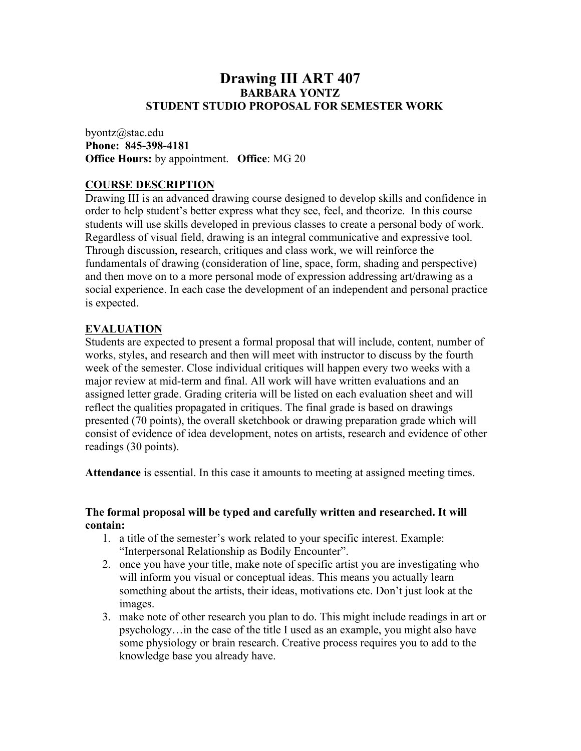## **Drawing III ART 407 BARBARA YONTZ STUDENT STUDIO PROPOSAL FOR SEMESTER WORK**

byontz@stac.edu **Phone: 845-398-4181 Office Hours:** by appointment. **Office**: MG 20

## **COURSE DESCRIPTION**

Drawing III is an advanced drawing course designed to develop skills and confidence in order to help student's better express what they see, feel, and theorize. In this course students will use skills developed in previous classes to create a personal body of work. Regardless of visual field, drawing is an integral communicative and expressive tool. Through discussion, research, critiques and class work, we will reinforce the fundamentals of drawing (consideration of line, space, form, shading and perspective) and then move on to a more personal mode of expression addressing art/drawing as a social experience. In each case the development of an independent and personal practice is expected.

## **EVALUATION**

Students are expected to present a formal proposal that will include, content, number of works, styles, and research and then will meet with instructor to discuss by the fourth week of the semester. Close individual critiques will happen every two weeks with a major review at mid-term and final. All work will have written evaluations and an assigned letter grade. Grading criteria will be listed on each evaluation sheet and will reflect the qualities propagated in critiques. The final grade is based on drawings presented (70 points), the overall sketchbook or drawing preparation grade which will consist of evidence of idea development, notes on artists, research and evidence of other readings (30 points).

**Attendance** is essential. In this case it amounts to meeting at assigned meeting times.

## **The formal proposal will be typed and carefully written and researched. It will contain:**

- 1. a title of the semester's work related to your specific interest. Example: "Interpersonal Relationship as Bodily Encounter".
- 2. once you have your title, make note of specific artist you are investigating who will inform you visual or conceptual ideas. This means you actually learn something about the artists, their ideas, motivations etc. Don't just look at the images.
- 3. make note of other research you plan to do. This might include readings in art or psychology…in the case of the title I used as an example, you might also have some physiology or brain research. Creative process requires you to add to the knowledge base you already have.